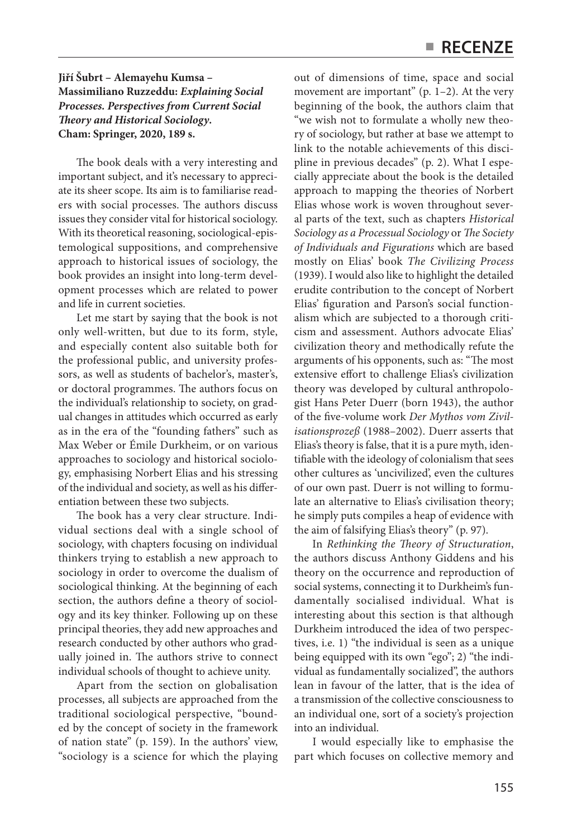## **Jiří Šubrt – Alemayehu Kumsa – Massimiliano Ruzzeddu:** *Explaining Social Processes. Perspectives from Current Social Theory and Historical Sociology***. Cham: Springer, 2020, 189 s.**

The book deals with a very interesting and important subject, and it's necessary to appreciate its sheer scope. Its aim is to familiarise readers with social processes. The authors discuss issues they consider vital for historical sociology. With its theoretical reasoning, sociological-epistemological suppositions, and comprehensive approach to historical issues of sociology, the book provides an insight into long-term development processes which are related to power and life in current societies.

Let me start by saying that the book is not only well-written, but due to its form, style, and especially content also suitable both for the professional public, and university professors, as well as students of bachelor's, master's, or doctoral programmes. The authors focus on the individual's relationship to society, on gradual changes in attitudes which occurred as early as in the era of the "founding fathers" such as Max Weber or Émile Durkheim, or on various approaches to sociology and historical sociology, emphasising Norbert Elias and his stressing of the individual and society, as well as his differentiation between these two subjects.

The book has a very clear structure. Individual sections deal with a single school of sociology, with chapters focusing on individual thinkers trying to establish a new approach to sociology in order to overcome the dualism of sociological thinking. At the beginning of each section, the authors define a theory of sociology and its key thinker. Following up on these principal theories, they add new approaches and research conducted by other authors who gradually joined in. The authors strive to connect individual schools of thought to achieve unity.

Apart from the section on globalisation processes, all subjects are approached from the traditional sociological perspective, "bounded by the concept of society in the framework of nation state" (p. 159). In the authors' view, "sociology is a science for which the playing out of dimensions of time, space and social movement are important" (p. 1–2). At the very beginning of the book, the authors claim that "we wish not to formulate a wholly new theory of sociology, but rather at base we attempt to link to the notable achievements of this discipline in previous decades" (p. 2). What I especially appreciate about the book is the detailed approach to mapping the theories of Norbert Elias whose work is woven throughout several parts of the text, such as chapters *Historical Sociology as a Processual Sociology* or *The Society of Individuals and Figurations* which are based mostly on Elias' book *The Civilizing Process*  (1939). I would also like to highlight the detailed erudite contribution to the concept of Norbert Elias' figuration and Parson's social functionalism which are subjected to a thorough criticism and assessment. Authors advocate Elias' civilization theory and methodically refute the arguments of his opponents, such as: "The most extensive effort to challenge Elias's civilization theory was developed by cultural anthropologist Hans Peter Duerr (born 1943), the author of the five-volume work *Der Mythos vom Zivilisationsprozeß* (1988–2002). Duerr asserts that Elias's theory is false, that it is a pure myth, identifiable with the ideology of colonialism that sees other cultures as 'uncivilized', even the cultures of our own past. Duerr is not willing to formulate an alternative to Elias's civilisation theory; he simply puts compiles a heap of evidence with the aim of falsifying Elias's theory" (p. 97).

In *Rethinking the Theory of Structuration*, the authors discuss Anthony Giddens and his theory on the occurrence and reproduction of social systems, connecting it to Durkheim's fundamentally socialised individual. What is interesting about this section is that although Durkheim introduced the idea of two perspectives, i.e. 1) "the individual is seen as a unique being equipped with its own "ego"; 2) "the individual as fundamentally socialized", the authors lean in favour of the latter, that is the idea of a transmission of the collective consciousness to an individual one, sort of a society's projection into an individual.

I would especially like to emphasise the part which focuses on collective memory and